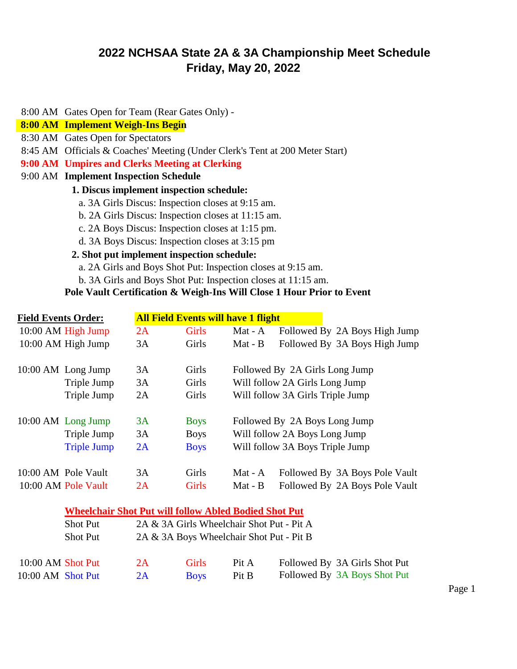# **2022 NCHSAA State 2A & 3A Championship Meet Schedule Friday, May 20, 2022**

8:00 AM Gates Open for Team (Rear Gates Only) -

#### **8:00 AM Implement Weigh-Ins Begin**

- 8:30 AM Gates Open for Spectators
- 8:45 AM Officials & Coaches' Meeting (Under Clerk's Tent at 200 Meter Start)
- **9:00 AM Umpires and Clerks Meeting at Clerking**
- 9:00 AM **Implement Inspection Schedule**

#### **1. Discus implement inspection schedule:**

- a. 3A Girls Discus: Inspection closes at 9:15 am.
- b. 2A Girls Discus: Inspection closes at 11:15 am.
- c. 2A Boys Discus: Inspection closes at 1:15 pm.
- d. 3A Boys Discus: Inspection closes at 3:15 pm

#### **2. Shot put implement inspection schedule:**

- a. 2A Girls and Boys Shot Put: Inspection closes at 9:15 am.
- b. 3A Girls and Boys Shot Put: Inspection closes at 11:15 am.

### **Pole Vault Certification & Weigh-Ins Will Close 1 Hour Prior to Event**

| <b>Field Events Order:</b> |                      | <b>All Field Events will have 1 flight</b> |              |           |                                  |
|----------------------------|----------------------|--------------------------------------------|--------------|-----------|----------------------------------|
|                            | 10:00 AM High Jump   | 2A                                         | <b>Girls</b> | Mat - $A$ | Followed By 2A Boys High Jump    |
|                            | 10:00 AM High Jump   | 3A                                         | Girls        | Mat - B   | Followed By 3A Boys High Jump    |
|                            | $10:00$ AM Long Jump | 3A                                         | Girls        |           | Followed By 2A Girls Long Jump   |
|                            | Triple Jump          | 3A                                         | Girls        |           | Will follow 2A Girls Long Jump   |
|                            | Triple Jump          | 2A                                         | Girls        |           | Will follow 3A Girls Triple Jump |
|                            | $10:00$ AM Long Jump | 3A                                         | <b>Boys</b>  |           | Followed By 2A Boys Long Jump    |
|                            | Triple Jump          | 3A                                         | <b>Boys</b>  |           | Will follow 2A Boys Long Jump    |
|                            | <b>Triple Jump</b>   | 2A                                         | <b>Boys</b>  |           | Will follow 3A Boys Triple Jump  |
|                            | 10:00 AM Pole Vault  | 3A                                         | Girls        | Mat - A   | Followed By 3A Boys Pole Vault   |
|                            | 10:00 AM Pole Vault  | 2A                                         | <b>Girls</b> | $Mat - B$ | Followed By 2A Boys Pole Vault   |

|                   | <b>Wheelchair Shot Put will follow Abled Bodied Shot Put</b> |    |              |       |                               |  |  |  |
|-------------------|--------------------------------------------------------------|----|--------------|-------|-------------------------------|--|--|--|
|                   | 2A & 3A Girls Wheelchair Shot Put - Pit A<br><b>Shot Put</b> |    |              |       |                               |  |  |  |
|                   | 2A & 3A Boys Wheelchair Shot Put - Pit B<br><b>Shot Put</b>  |    |              |       |                               |  |  |  |
| 10:00 AM Shot Put |                                                              | 2A | <b>Girls</b> | Pit A | Followed By 3A Girls Shot Put |  |  |  |
| 10:00 AM Shot Put |                                                              | 2A | <b>Boys</b>  | Pit B | Followed By 3A Boys Shot Put  |  |  |  |

Page 1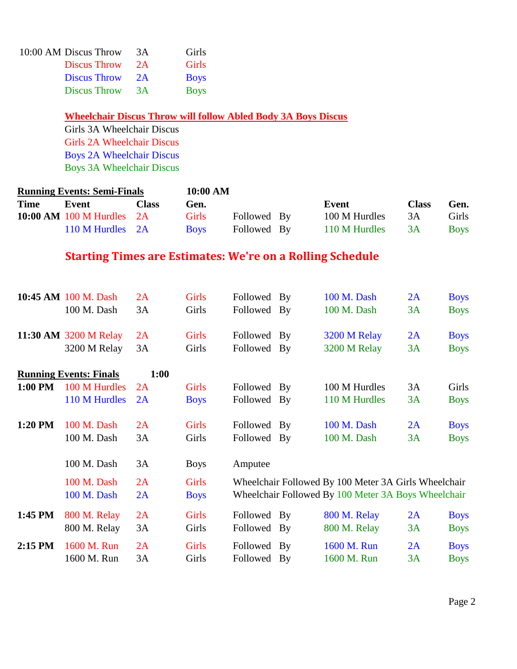| 10:00 AM Discus Throw | 3A | Girls       |
|-----------------------|----|-------------|
| Discus Throw          | 2A | Girls       |
| <b>Discus Throw</b>   | 2A | <b>Boys</b> |
| Discus Throw          | 3A | <b>Boys</b> |

**Wheelchair Discus Throw will follow Abled Body 3A Boys Discus**

Girls 3A Wheelchair Discus Girls 2A Wheelchair Discus Boys 2A Wheelchair Discus Boys 3A Wheelchair Discus

| <b>Running Events: Semi-Finals</b> |                                 | 10:00 AM |             |             |               |              |              |
|------------------------------------|---------------------------------|----------|-------------|-------------|---------------|--------------|--------------|
| <b>Time</b>                        | Event                           | Class    | Gen.        |             | Event         | <b>Class</b> | Gen.         |
|                                    | $10:00$ AM $100$ M Hurdles $2A$ |          | Girls       | Followed By | 100 M Hurdles | 3A           | <b>Girls</b> |
|                                    | 110 M Hurdles 2A                |          | <b>Boys</b> | Followed By | 110 M Hurdles | 3A           | <b>Boys</b>  |

## **Starting Times are Estimates: We're on a Rolling Schedule**

|         | 10:45 AM 100 M. Dash          | 2A   | <b>Girls</b> | Followed By | 100 M. Dash                                          | 2A | <b>Boys</b> |
|---------|-------------------------------|------|--------------|-------------|------------------------------------------------------|----|-------------|
|         | 100 M. Dash                   | 3A   | Girls        | Followed By | 100 M. Dash                                          | 3A | <b>Boys</b> |
|         | 11:30 AM 3200 M Relay         | 2A   | <b>Girls</b> | Followed By | 3200 M Relay                                         | 2A | <b>Boys</b> |
|         | 3200 M Relay                  | 3A   | Girls        | Followed By | 3200 M Relay                                         | 3A | <b>Boys</b> |
|         | <b>Running Events: Finals</b> | 1:00 |              |             |                                                      |    |             |
| 1:00 PM | 100 M Hurdles                 | 2A   | <b>Girls</b> | Followed By | 100 M Hurdles                                        | 3A | Girls       |
|         | 110 M Hurdles                 | 2A   | <b>Boys</b>  | Followed By | 110 M Hurdles                                        | 3A | <b>Boys</b> |
| 1:20 PM | 100 M. Dash                   | 2A   | <b>Girls</b> | Followed By | 100 M. Dash                                          | 2A | <b>Boys</b> |
|         | 100 M. Dash                   | 3A   | Girls        | Followed By | 100 M. Dash                                          | 3A | <b>Boys</b> |
|         | 100 M. Dash                   | 3A   | <b>Boys</b>  | Amputee     |                                                      |    |             |
|         | 100 M. Dash                   | 2A   | <b>Girls</b> |             | Wheelchair Followed By 100 Meter 3A Girls Wheelchair |    |             |
|         | 100 M. Dash                   | 2A   | <b>Boys</b>  |             | Wheelchair Followed By 100 Meter 3A Boys Wheelchair  |    |             |
| 1:45 PM | 800 M. Relay                  | 2A   | <b>Girls</b> | Followed By | 800 M. Relay                                         | 2A | <b>Boys</b> |
|         | 800 M. Relay                  | 3A   | Girls        | Followed By | 800 M. Relay                                         | 3A | <b>Boys</b> |
| 2:15 PM | 1600 M. Run                   | 2A   | <b>Girls</b> | Followed By | 1600 M. Run                                          | 2A | <b>Boys</b> |
|         | 1600 M. Run                   | 3A   | Girls        | Followed By | 1600 M. Run                                          | 3A | <b>Boys</b> |